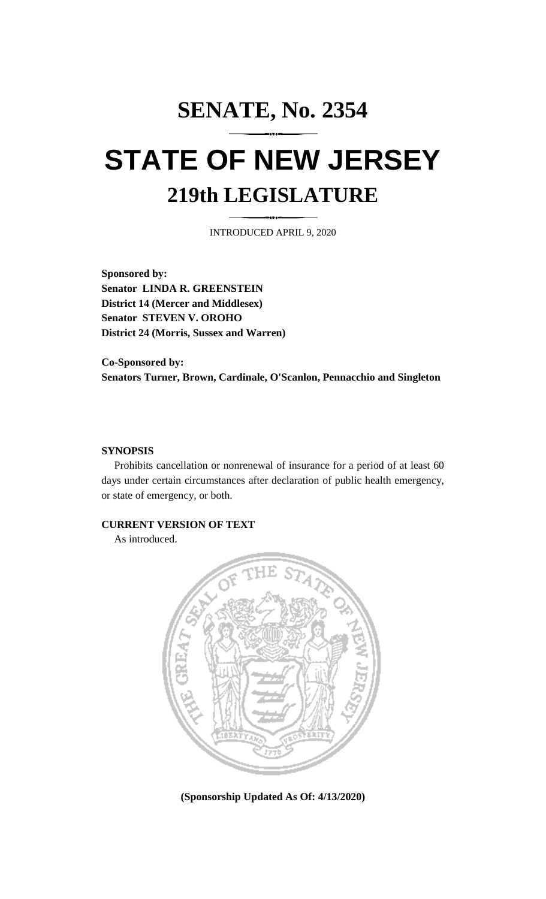# **SENATE, No. 2354 STATE OF NEW JERSEY 219th LEGISLATURE**

INTRODUCED APRIL 9, 2020

**Sponsored by: Senator LINDA R. GREENSTEIN District 14 (Mercer and Middlesex) Senator STEVEN V. OROHO District 24 (Morris, Sussex and Warren)**

**Co-Sponsored by: Senators Turner, Brown, Cardinale, O'Scanlon, Pennacchio and Singleton**

#### **SYNOPSIS**

Prohibits cancellation or nonrenewal of insurance for a period of at least 60 days under certain circumstances after declaration of public health emergency, or state of emergency, or both.

#### **CURRENT VERSION OF TEXT**

As introduced.



**(Sponsorship Updated As Of: 4/13/2020)**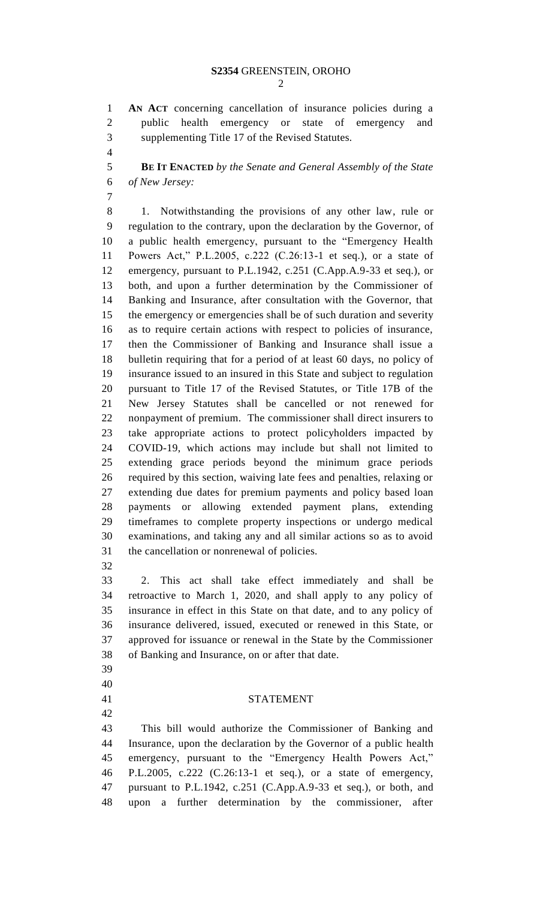**AN ACT** concerning cancellation of insurance policies during a public health emergency or state of emergency and supplementing Title 17 of the Revised Statutes.

 **BE IT ENACTED** *by the Senate and General Assembly of the State of New Jersey:*

 1. Notwithstanding the provisions of any other law, rule or regulation to the contrary, upon the declaration by the Governor, of a public health emergency, pursuant to the "Emergency Health Powers Act," P.L.2005, c.222 (C.26:13-1 et seq.), or a state of emergency, pursuant to P.L.1942, c.251 (C.App.A.9-33 et seq.), or both, and upon a further determination by the Commissioner of Banking and Insurance, after consultation with the Governor, that the emergency or emergencies shall be of such duration and severity as to require certain actions with respect to policies of insurance, then the Commissioner of Banking and Insurance shall issue a bulletin requiring that for a period of at least 60 days, no policy of insurance issued to an insured in this State and subject to regulation pursuant to Title 17 of the Revised Statutes, or Title 17B of the New Jersey Statutes shall be cancelled or not renewed for nonpayment of premium. The commissioner shall direct insurers to take appropriate actions to protect policyholders impacted by COVID-19, which actions may include but shall not limited to extending grace periods beyond the minimum grace periods required by this section, waiving late fees and penalties, relaxing or extending due dates for premium payments and policy based loan payments or allowing extended payment plans, extending timeframes to complete property inspections or undergo medical examinations, and taking any and all similar actions so as to avoid the cancellation or nonrenewal of policies.

 2. This act shall take effect immediately and shall be retroactive to March 1, 2020, and shall apply to any policy of insurance in effect in this State on that date, and to any policy of insurance delivered, issued, executed or renewed in this State, or approved for issuance or renewal in the State by the Commissioner of Banking and Insurance, on or after that date.

- 
- 
- 

### STATEMENT

 This bill would authorize the Commissioner of Banking and Insurance, upon the declaration by the Governor of a public health emergency, pursuant to the "Emergency Health Powers Act," P.L.2005, c.222 (C.26:13-1 et seq.), or a state of emergency, pursuant to P.L.1942, c.251 (C.App.A.9-33 et seq.), or both, and upon a further determination by the commissioner, after